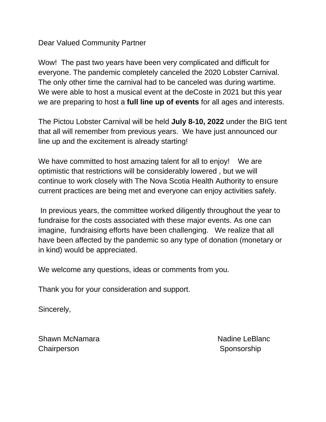# Dear Valued Community Partner

Wow! The past two years have been very complicated and difficult for everyone. The pandemic completely canceled the 2020 Lobster Carnival. The only other time the carnival had to be canceled was during wartime. We were able to host a musical event at the deCoste in 2021 but this year we are preparing to host a **full line up of events** for all ages and interests.

The Pictou Lobster Carnival will be held **July 8-10, 2022** under the BIG tent that all will remember from previous years. We have just announced our line up and the excitement is already starting!

We have committed to host amazing talent for all to enjoy! We are optimistic that restrictions will be considerably lowered , but we will continue to work closely with The Nova Scotia Health Authority to ensure current practices are being met and everyone can enjoy activities safely.

In previous years, the committee worked diligently throughout the year to fundraise for the costs associated with these major events. As one can imagine, fundraising efforts have been challenging. We realize that all have been affected by the pandemic so any type of donation (monetary or in kind) would be appreciated.

We welcome any questions, ideas or comments from you.

Thank you for your consideration and support.

Sincerely,

Shawn McNamara Nadine LeBlanc Chairperson Sponsorship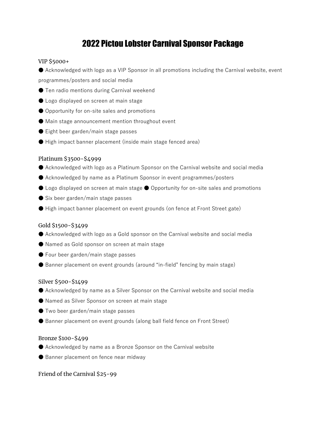# 2022 Pictou Lobster Carnival Sponsor Package

## VIP \$5000+

● Acknowledged with logo as a VIP Sponsor in all promotions including the Carnival website, event programmes/posters and social media

- Ten radio mentions during Carnival weekend
- Logo displayed on screen at main stage
- Opportunity for on-site sales and promotions
- Main stage announcement mention throughout event
- Eight beer garden/main stage passes
- High impact banner placement (inside main stage fenced area)

# Platinum \$3500-\$4999

- Acknowledged with logo as a Platinum Sponsor on the Carnival website and social media
- Acknowledged by name as a Platinum Sponsor in event programmes/posters
- Logo displayed on screen at main stage Opportunity for on-site sales and promotions
- $\bullet$  Six beer garden/main stage passes
- High impact banner placement on event grounds (on fence at Front Street gate)

## Gold \$1500-\$3499

- Acknowledged with logo as a Gold sponsor on the Carnival website and social media
- Named as Gold sponsor on screen at main stage
- Four beer garden/main stage passes
- Banner placement on event grounds (around "in-field" fencing by main stage)

#### Silver \$500-\$1499

- Acknowledged by name as a Silver Sponsor on the Carnival website and social media
- Named as Silver Sponsor on screen at main stage
- Two beer garden/main stage passes
- Banner placement on event grounds (along ball field fence on Front Street)

#### Bronze \$100-\$499

- Acknowledged by name as a Bronze Sponsor on the Carnival website
- Banner placement on fence near midway

Friend of the Carnival \$25-99